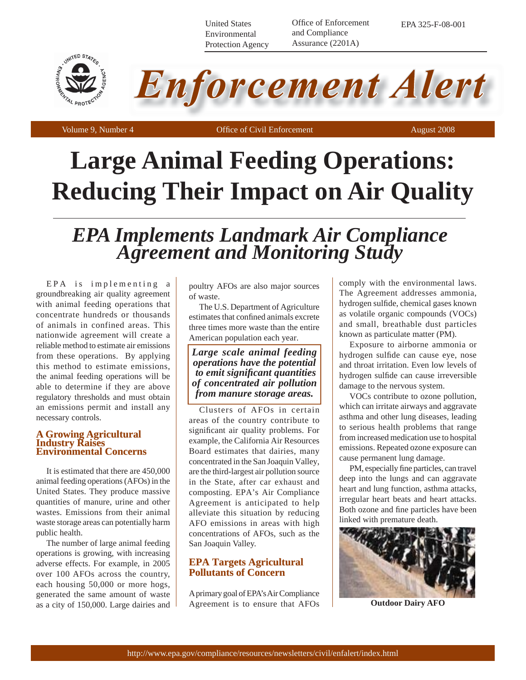United States Environmental Protection Agency Office of Enforcement and Compliance Assurance (2201A)

EPA 325-F-08-001





## **Large Animal Feeding Operations: Reducing Their Impact on Air Quality**

# *EPA Implements Landmark Air Compliance Agreement and Monitoring Study*

EPA is implementing a groundbreaking air quality agreement with animal feeding operations that concentrate hundreds or thousands of animals in confined areas. This nationwide agreement will create a reliable method to estimate air emissions from these operations. By applying this method to estimate emissions, the animal feeding operations will be able to determine if they are above regulatory thresholds and must obtain an emissions permit and install any necessary controls.

#### **A Growing Agricultural Industry Raise Environmental Concerns**

It is estimated that there are 450,000 animal feeding operations (AFOs) in the United States. They produce massive quantities of manure, urine and other wastes. Emissions from their animal waste storage areas can potentially harm public health.

The number of large animal feeding operations is growing, with increasing adverse effects. For example, in 2005 over 100 AFOs across the country, each housing 50,000 or more hogs, generated the same amount of waste as a city of 150,000. Large dairies and poultry AFOs are also major sources of waste.

The U.S. Department of Agriculture estimates that confined animals excrete three times more waste than the entire American population each year.

*Large scale animal feeding operations have the potential to emit signifi cant quantities of concentrated air pollution from manure storage areas.*

Clusters of AFOs in certain areas of the country contribute to significant air quality problems. For example, the California Air Resources Board estimates that dairies, many concentrated in the San Joaquin Valley, are the third-largest air pollution source in the State, after car exhaust and composting. EPA's Air Compliance Agreement is anticipated to help alleviate this situation by reducing AFO emissions in areas with high concentrations of AFOs, such as the San Joaquin Valley.

## **EPA Targets Agricultural Pollutants of Concern**

A primary goal of EPA's Air Compliance Agreement is to ensure that AFOs comply with the environmental laws. The Agreement addresses ammonia, hydrogen sulfide, chemical gases known as volatile organic compounds (VOCs) and small, breathable dust particles known as particulate matter (PM).

Exposure to airborne ammonia or hydrogen sulfide can cause eye, nose and throat irritation. Even low levels of hydrogen sulfide can cause irreversible damage to the nervous system.

VOCs contribute to ozone pollution, which can irritate airways and aggravate asthma and other lung diseases, leading to serious health problems that range from increased medication use to hospital emissions. Repeated ozone exposure can cause permanent lung damage.

PM, especially fine particles, can travel deep into the lungs and can aggravate heart and lung function, asthma attacks, irregular heart beats and heart attacks. Both ozone and fine particles have been linked with premature death.



**Outdoor Dairy AFO**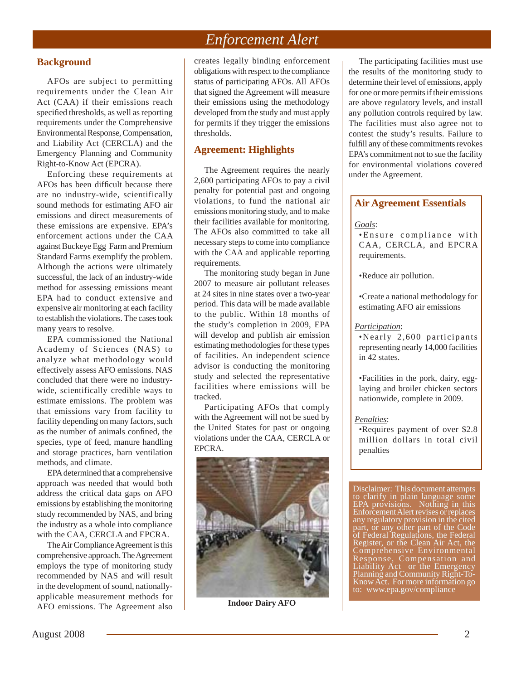## *Enforcement Alert*

### **Background**

AFOs are subject to permitting requirements under the Clean Air Act (CAA) if their emissions reach specified thresholds, as well as reporting requirements under the Comprehensive Environmental Response, Compensation, and Liability Act (CERCLA) and the Emergency Planning and Community Right-to-Know Act (EPCRA).

Enforcing these requirements at AFOs has been difficult because there are no industry-wide, scientifically sound methods for estimating AFO air emissions and direct measurements of these emissions are expensive. EPA's enforcement actions under the CAA against Buckeye Egg Farm and Premium Standard Farms exemplify the problem. Although the actions were ultimately successful, the lack of an industry-wide method for assessing emissions meant EPA had to conduct extensive and expensive air monitoring at each facility to establish the violations. The cases took many years to resolve.

EPA commissioned the National Academy of Sciences (NAS) to analyze what methodology would effectively assess AFO emissions. NAS concluded that there were no industrywide, scientifically credible ways to estimate emissions. The problem was that emissions vary from facility to facility depending on many factors, such as the number of animals confined, the species, type of feed, manure handling and storage practices, barn ventilation methods, and climate.

EPA determined that a comprehensive approach was needed that would both address the critical data gaps on AFO emissions by establishing the monitoring study recommended by NAS, and bring the industry as a whole into compliance with the CAA, CERCLA and EPCRA.

The Air Compliance Agreement is this comprehensive approach. The Agreement employs the type of monitoring study recommended by NAS and will result in the development of sound, nationallyapplicable measurement methods for AFO emissions. The Agreement also creates legally binding enforcement obligations with respect to the compliance status of participating AFOs. All AFOs that signed the Agreement will measure their emissions using the methodology developed from the study and must apply for permits if they trigger the emissions thresholds.

## **Agreement: Highlights**

The Agreement requires the nearly 2,600 participating AFOs to pay a civil penalty for potential past and ongoing violations, to fund the national air emissions monitoring study, and to make their facilities available for monitoring. The AFOs also committed to take all necessary steps to come into compliance with the CAA and applicable reporting requirements.

The monitoring study began in June 2007 to measure air pollutant releases at 24 sites in nine states over a two-year period. This data will be made available to the public. Within 18 months of the study's completion in 2009, EPA will develop and publish air emission estimating methodologies for these types of facilities. An independent science advisor is conducting the monitoring study and selected the representative facilities where emissions will be tracked.

Participating AFOs that comply with the Agreement will not be sued by the United States for past or ongoing violations under the CAA, CERCLA or EPCRA.



**Indoor Dairy AFO**

The participating facilities must use the results of the monitoring study to determine their level of emissions, apply for one or more permits if their emissions are above regulatory levels, and install any pollution controls required by law. The facilities must also agree not to contest the study's results. Failure to fulfill any of these commitments revokes EPA's commitment not to sue the facility for environmental violations covered under the Agreement.

#### **Air Agreement Essentials**

#### *Goals*:

• Ensure compliance with CAA, CERCLA, and EPCRA requirements.

•Reduce air pollution.

•Create a national methodology for estimating AFO air emissions

#### *Participation*:

•Nearly 2,600 participants representing nearly 14,000 facilities in 42 states.

•Facilities in the pork, dairy, egglaying and broiler chicken sectors nationwide, complete in 2009.

#### *Penalties*:

•Requires payment of over \$2.8 million dollars in total civil penalties

Disclaimer: This document attempts to clarify in plain language some EPA provisions. Nothing in this Enforcement Alert revises or replaces any regulatory provision in the cited part, or any other part of the Code of Federal Regulations, the Federal Register, or the Clean Air Act, the Comprehensive Environmental Response, Compensation and Liability Act or the Emergency Planning and Community Right-To-Know Act. For more information go to: www.epa.gov/compliance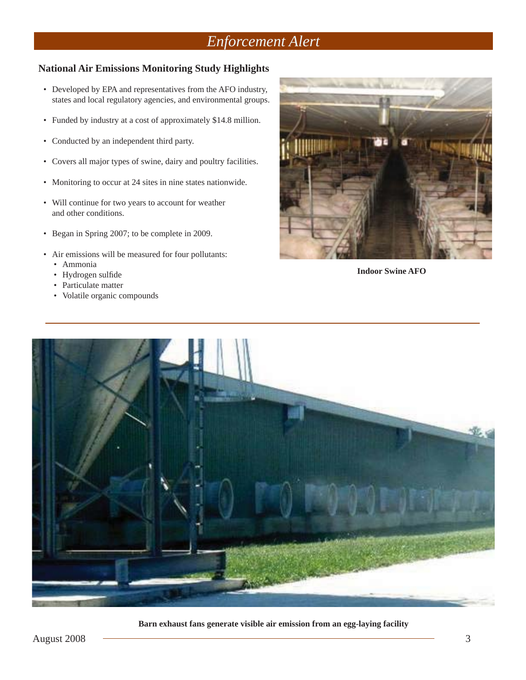## *Enforcement Alert*

## **National Air Emissions Monitoring Study Highlights**

- Developed by EPA and representatives from the AFO industry, states and local regulatory agencies, and environmental groups.
- Funded by industry at a cost of approximately \$14.8 million.
- Conducted by an independent third party.
- Covers all major types of swine, dairy and poultry facilities.
- Monitoring to occur at 24 sites in nine states nationwide.
- Will continue for two years to account for weather and other conditions.
- Began in Spring 2007; to be complete in 2009.
- Air emissions will be measured for four pollutants:
	- Ammonia
	- Hydrogen sulfide
	- Particulate matter
	- Volatile organic compounds



**Indoor Swine AFO**



**Barn exhaust fans generate visible air emission from an egg-laying facility**